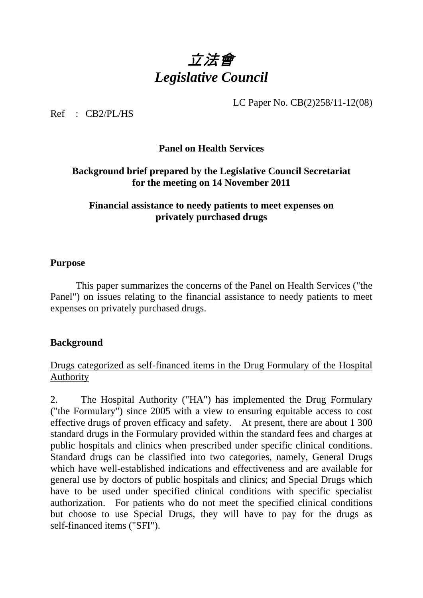

LC Paper No. CB(2)258/11-12(08)

 $Ref$   $CR2/PI/HS$ 

# **Panel on Health Services**

### **Background brief prepared by the Legislative Council Secretariat for the meeting on 14 November 2011**

### **Financial assistance to needy patients to meet expenses on privately purchased drugs**

#### **Purpose**

 This paper summarizes the concerns of the Panel on Health Services ("the Panel") on issues relating to the financial assistance to needy patients to meet expenses on privately purchased drugs.

#### **Background**

### Drugs categorized as self-financed items in the Drug Formulary of the Hospital Authority

2. The Hospital Authority ("HA") has implemented the Drug Formulary ("the Formulary") since 2005 with a view to ensuring equitable access to cost effective drugs of proven efficacy and safety. At present, there are about 1 300 standard drugs in the Formulary provided within the standard fees and charges at public hospitals and clinics when prescribed under specific clinical conditions. Standard drugs can be classified into two categories, namely, General Drugs which have well-established indications and effectiveness and are available for general use by doctors of public hospitals and clinics; and Special Drugs which have to be used under specified clinical conditions with specific specialist authorization. For patients who do not meet the specified clinical conditions but choose to use Special Drugs, they will have to pay for the drugs as self-financed items ("SFI").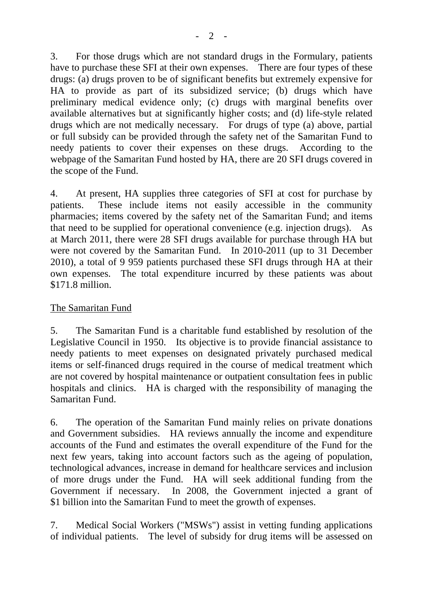3. For those drugs which are not standard drugs in the Formulary, patients have to purchase these SFI at their own expenses. There are four types of these drugs: (a) drugs proven to be of significant benefits but extremely expensive for HA to provide as part of its subsidized service; (b) drugs which have preliminary medical evidence only; (c) drugs with marginal benefits over available alternatives but at significantly higher costs; and (d) life-style related drugs which are not medically necessary. For drugs of type (a) above, partial or full subsidy can be provided through the safety net of the Samaritan Fund to needy patients to cover their expenses on these drugs. According to the webpage of the Samaritan Fund hosted by HA, there are 20 SFI drugs covered in the scope of the Fund.

4. At present, HA supplies three categories of SFI at cost for purchase by patients. These include items not easily accessible in the community pharmacies; items covered by the safety net of the Samaritan Fund; and items that need to be supplied for operational convenience (e.g. injection drugs). As at March 2011, there were 28 SFI drugs available for purchase through HA but were not covered by the Samaritan Fund. In 2010-2011 (up to 31 December 2010), a total of 9 959 patients purchased these SFI drugs through HA at their own expenses. The total expenditure incurred by these patients was about \$171.8 million.

# The Samaritan Fund

5. The Samaritan Fund is a charitable fund established by resolution of the Legislative Council in 1950. Its objective is to provide financial assistance to needy patients to meet expenses on designated privately purchased medical items or self-financed drugs required in the course of medical treatment which are not covered by hospital maintenance or outpatient consultation fees in public hospitals and clinics. HA is charged with the responsibility of managing the Samaritan Fund.

6. The operation of the Samaritan Fund mainly relies on private donations and Government subsidies. HA reviews annually the income and expenditure accounts of the Fund and estimates the overall expenditure of the Fund for the next few years, taking into account factors such as the ageing of population, technological advances, increase in demand for healthcare services and inclusion of more drugs under the Fund. HA will seek additional funding from the Government if necessary. In 2008, the Government injected a grant of \$1 billion into the Samaritan Fund to meet the growth of expenses.

7. Medical Social Workers ("MSWs") assist in vetting funding applications of individual patients. The level of subsidy for drug items will be assessed on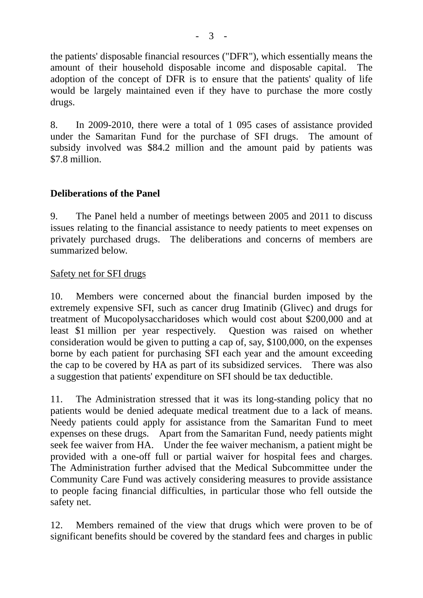the patients' disposable financial resources ("DFR"), which essentially means the amount of their household disposable income and disposable capital. The adoption of the concept of DFR is to ensure that the patients' quality of life would be largely maintained even if they have to purchase the more costly drugs.

8. In 2009-2010, there were a total of 1 095 cases of assistance provided under the Samaritan Fund for the purchase of SFI drugs. The amount of subsidy involved was \$84.2 million and the amount paid by patients was \$7.8 million.

# **Deliberations of the Panel**

9. The Panel held a number of meetings between 2005 and 2011 to discuss issues relating to the financial assistance to needy patients to meet expenses on privately purchased drugs. The deliberations and concerns of members are summarized below.

#### Safety net for SFI drugs

10. Members were concerned about the financial burden imposed by the extremely expensive SFI, such as cancer drug Imatinib (Glivec) and drugs for treatment of Mucopolysaccharidoses which would cost about \$200,000 and at least \$1 million per year respectively. Question was raised on whether consideration would be given to putting a cap of, say, \$100,000, on the expenses borne by each patient for purchasing SFI each year and the amount exceeding the cap to be covered by HA as part of its subsidized services. There was also a suggestion that patients' expenditure on SFI should be tax deductible.

11. The Administration stressed that it was its long-standing policy that no patients would be denied adequate medical treatment due to a lack of means. Needy patients could apply for assistance from the Samaritan Fund to meet expenses on these drugs. Apart from the Samaritan Fund, needy patients might seek fee waiver from HA. Under the fee waiver mechanism, a patient might be provided with a one-off full or partial waiver for hospital fees and charges. The Administration further advised that the Medical Subcommittee under the Community Care Fund was actively considering measures to provide assistance to people facing financial difficulties, in particular those who fell outside the safety net.

12. Members remained of the view that drugs which were proven to be of significant benefits should be covered by the standard fees and charges in public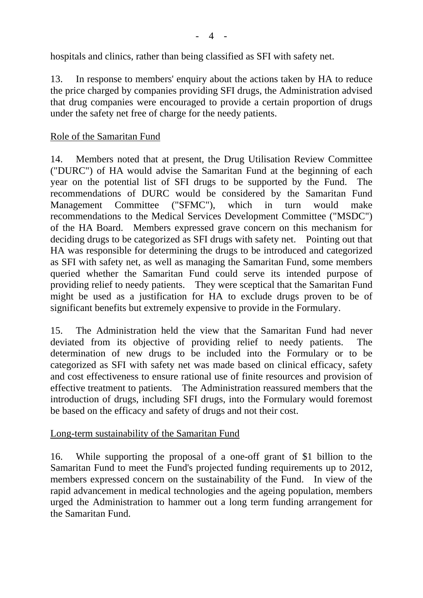$\overline{\mathcal{A}}$ 

hospitals and clinics, rather than being classified as SFI with safety net.

13. In response to members' enquiry about the actions taken by HA to reduce the price charged by companies providing SFI drugs, the Administration advised that drug companies were encouraged to provide a certain proportion of drugs under the safety net free of charge for the needy patients.

### Role of the Samaritan Fund

14. Members noted that at present, the Drug Utilisation Review Committee ("DURC") of HA would advise the Samaritan Fund at the beginning of each year on the potential list of SFI drugs to be supported by the Fund. The recommendations of DURC would be considered by the Samaritan Fund Management Committee ("SFMC"), which in turn would make recommendations to the Medical Services Development Committee ("MSDC") of the HA Board. Members expressed grave concern on this mechanism for deciding drugs to be categorized as SFI drugs with safety net. Pointing out that HA was responsible for determining the drugs to be introduced and categorized as SFI with safety net, as well as managing the Samaritan Fund, some members queried whether the Samaritan Fund could serve its intended purpose of providing relief to needy patients. They were sceptical that the Samaritan Fund might be used as a justification for HA to exclude drugs proven to be of significant benefits but extremely expensive to provide in the Formulary.

15. The Administration held the view that the Samaritan Fund had never deviated from its objective of providing relief to needy patients. The determination of new drugs to be included into the Formulary or to be categorized as SFI with safety net was made based on clinical efficacy, safety and cost effectiveness to ensure rational use of finite resources and provision of effective treatment to patients. The Administration reassured members that the introduction of drugs, including SFI drugs, into the Formulary would foremost be based on the efficacy and safety of drugs and not their cost.

#### Long-term sustainability of the Samaritan Fund

16. While supporting the proposal of a one-off grant of \$1 billion to the Samaritan Fund to meet the Fund's projected funding requirements up to 2012, members expressed concern on the sustainability of the Fund. In view of the rapid advancement in medical technologies and the ageing population, members urged the Administration to hammer out a long term funding arrangement for the Samaritan Fund.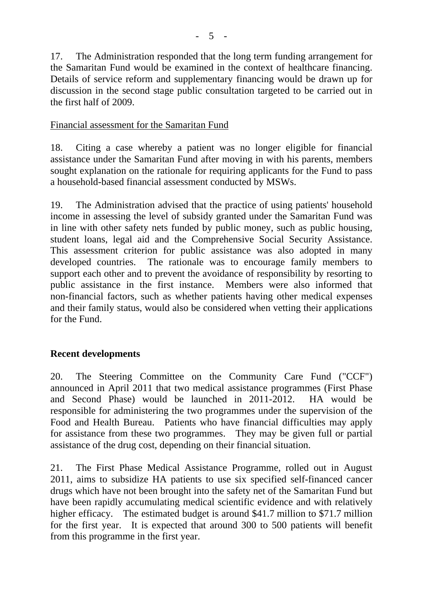17. The Administration responded that the long term funding arrangement for the Samaritan Fund would be examined in the context of healthcare financing. Details of service reform and supplementary financing would be drawn up for discussion in the second stage public consultation targeted to be carried out in the first half of 2009.

#### Financial assessment for the Samaritan Fund

18. Citing a case whereby a patient was no longer eligible for financial assistance under the Samaritan Fund after moving in with his parents, members sought explanation on the rationale for requiring applicants for the Fund to pass a household-based financial assessment conducted by MSWs.

19. The Administration advised that the practice of using patients' household income in assessing the level of subsidy granted under the Samaritan Fund was in line with other safety nets funded by public money, such as public housing, student loans, legal aid and the Comprehensive Social Security Assistance. This assessment criterion for public assistance was also adopted in many developed countries. The rationale was to encourage family members to support each other and to prevent the avoidance of responsibility by resorting to public assistance in the first instance. Members were also informed that non-financial factors, such as whether patients having other medical expenses and their family status, would also be considered when vetting their applications for the Fund.

#### **Recent developments**

20. The Steering Committee on the Community Care Fund ("CCF") announced in April 2011 that two medical assistance programmes (First Phase and Second Phase) would be launched in 2011-2012. HA would be responsible for administering the two programmes under the supervision of the Food and Health Bureau. Patients who have financial difficulties may apply for assistance from these two programmes. They may be given full or partial assistance of the drug cost, depending on their financial situation.

21. The First Phase Medical Assistance Programme, rolled out in August 2011, aims to subsidize HA patients to use six specified self-financed cancer drugs which have not been brought into the safety net of the Samaritan Fund but have been rapidly accumulating medical scientific evidence and with relatively higher efficacy. The estimated budget is around \$41.7 million to \$71.7 million for the first year. It is expected that around 300 to 500 patients will benefit from this programme in the first year.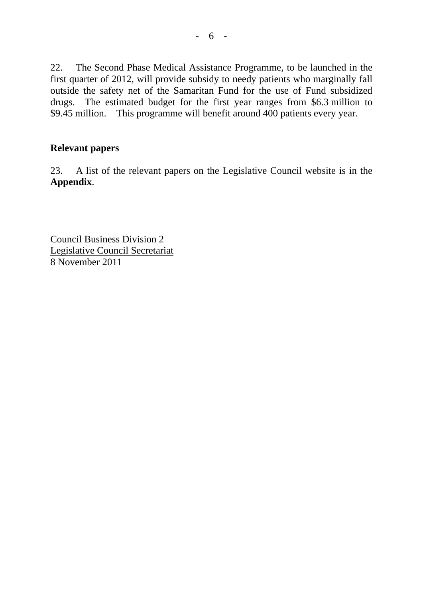22. The Second Phase Medical Assistance Programme, to be launched in the first quarter of 2012, will provide subsidy to needy patients who marginally fall outside the safety net of the Samaritan Fund for the use of Fund subsidized drugs. The estimated budget for the first year ranges from \$6.3 million to \$9.45 million. This programme will benefit around 400 patients every year.

### **Relevant papers**

23. A list of the relevant papers on the Legislative Council website is in the **Appendix**.

Council Business Division 2 Legislative Council Secretariat 8 November 2011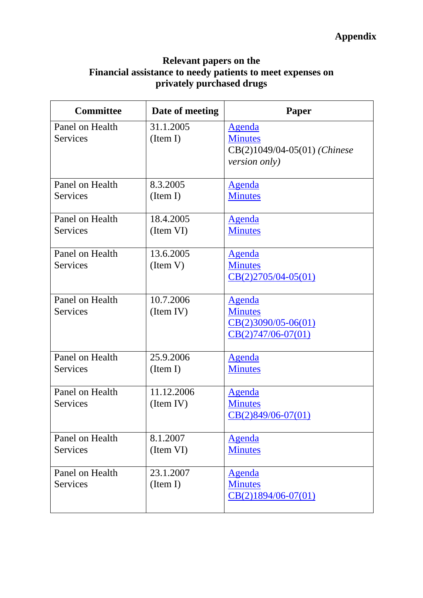# **Relevant papers on the Financial assistance to needy patients to meet expenses on privately purchased drugs**

| <b>Committee</b> | Date of meeting | Paper                        |
|------------------|-----------------|------------------------------|
| Panel on Health  | 31.1.2005       | <b>Agenda</b>                |
| <b>Services</b>  | (Item I)        | <b>Minutes</b>               |
|                  |                 | CB(2)1049/04-05(01) (Chinese |
|                  |                 | <i>version only)</i>         |
|                  |                 |                              |
| Panel on Health  | 8.3.2005        | <b>Agenda</b>                |
| <b>Services</b>  | (Item I)        | <b>Minutes</b>               |
|                  |                 |                              |
| Panel on Health  | 18.4.2005       | <b>Agenda</b>                |
| <b>Services</b>  | (Item VI)       | <b>Minutes</b>               |
|                  |                 |                              |
| Panel on Health  | 13.6.2005       | <b>Agenda</b>                |
| <b>Services</b>  | (Item V)        | <b>Minutes</b>               |
|                  |                 | $CB(2)2705/04-05(01)$        |
|                  |                 |                              |
| Panel on Health  | 10.7.2006       | <b>Agenda</b>                |
| <b>Services</b>  | (Item IV)       | <b>Minutes</b>               |
|                  |                 | $CB(2)3090/05-06(01)$        |
|                  |                 | $CB(2)747/06-07(01)$         |
| Panel on Health  | 25.9.2006       | <b>Agenda</b>                |
| <b>Services</b>  | (Item I)        | <b>Minutes</b>               |
|                  |                 |                              |
| Panel on Health  | 11.12.2006      | <b>Agenda</b>                |
| <b>Services</b>  | (Item IV)       | <b>Minutes</b>               |
|                  |                 | $CB(2)849/06-07(01)$         |
|                  |                 |                              |
| Panel on Health  | 8.1.2007        | <b>Agenda</b>                |
| <b>Services</b>  | (Item VI)       | <b>Minutes</b>               |
|                  |                 |                              |
| Panel on Health  | 23.1.2007       | <b>Agenda</b>                |
| Services         | (Item I)        | <b>Minutes</b>               |
|                  |                 | $CB(2)1894/06-07(01)$        |
|                  |                 |                              |